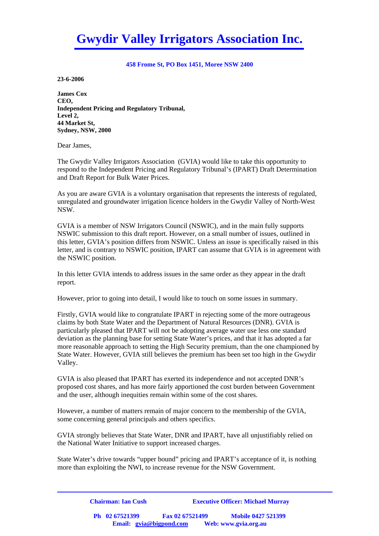# **Gwydir Valley Irrigators Association Inc.**

#### **458 Frome St, PO Box 1451, Moree NSW 2400**

**23-6-2006** 

**James Cox CEO, Independent Pricing and Regulatory Tribunal, Level 2, 44 Market St, Sydney, NSW, 2000** 

Dear James,

The Gwydir Valley Irrigators Association (GVIA) would like to take this opportunity to respond to the Independent Pricing and Regulatory Tribunal's (IPART) Draft Determination and Draft Report for Bulk Water Prices.

As you are aware GVIA is a voluntary organisation that represents the interests of regulated, unregulated and groundwater irrigation licence holders in the Gwydir Valley of North-West NSW.

GVIA is a member of NSW Irrigators Council (NSWIC), and in the main fully supports NSWIC submission to this draft report. However, on a small number of issues, outlined in this letter, GVIA's position differs from NSWIC. Unless an issue is specifically raised in this letter, and is contrary to NSWIC position, IPART can assume that GVIA is in agreement with the NSWIC position.

In this letter GVIA intends to address issues in the same order as they appear in the draft report.

However, prior to going into detail, I would like to touch on some issues in summary.

Firstly, GVIA would like to congratulate IPART in rejecting some of the more outrageous claims by both State Water and the Department of Natural Resources (DNR). GVIA is particularly pleased that IPART will not be adopting average water use less one standard deviation as the planning base for setting State Water's prices, and that it has adopted a far more reasonable approach to setting the High Security premium, than the one championed by State Water. However, GVIA still believes the premium has been set too high in the Gwydir Valley.

GVIA is also pleased that IPART has exerted its independence and not accepted DNR's proposed cost shares, and has more fairly apportioned the cost burden between Government and the user, although inequities remain within some of the cost shares.

However, a number of matters remain of major concern to the membership of the GVIA, some concerning general principals and others specifics.

GVIA strongly believes that State Water, DNR and IPART, have all unjustifiably relied on the National Water Initiative to support increased charges.

State Water's drive towards "upper bound" pricing and IPART's acceptance of it, is nothing more than exploiting the NWI, to increase revenue for the NSW Government.

| <b>Chairman: Ian Cush</b> |                         | <b>Executive Officer: Michael Murray</b> |  |  |
|---------------------------|-------------------------|------------------------------------------|--|--|
| Ph 02 67521399            | Fax 02 67521499         | <b>Mobile 0427 521399</b>                |  |  |
|                           | Email: gvia@bigpond.com | Web: www.gvia.org.au                     |  |  |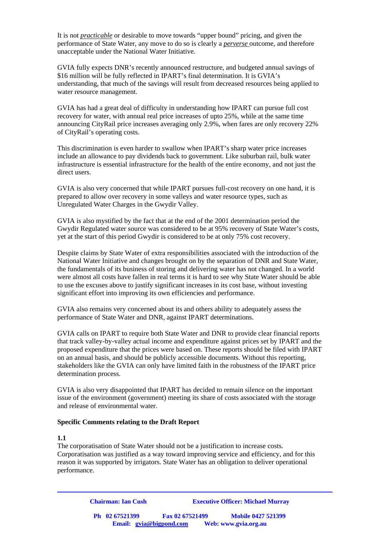It is not *practicable* or desirable to move towards "upper bound" pricing, and given the performance of State Water, any move to do so is clearly a *perverse* outcome, and therefore unacceptable under the National Water Initiative.

GVIA fully expects DNR's recently announced restructure, and budgeted annual savings of \$16 million will be fully reflected in IPART's final determination. It is GVIA's understanding, that much of the savings will result from decreased resources being applied to water resource management.

GVIA has had a great deal of difficulty in understanding how IPART can pursue full cost recovery for water, with annual real price increases of upto 25%, while at the same time announcing CityRail price increases averaging only 2.9%, when fares are only recovery 22% of CityRail's operating costs.

This discrimination is even harder to swallow when IPART's sharp water price increases include an allowance to pay dividends back to government. Like suburban rail, bulk water infrastructure is essential infrastructure for the health of the entire economy, and not just the direct users.

GVIA is also very concerned that while IPART pursues full-cost recovery on one hand, it is prepared to allow over recovery in some valleys and water resource types, such as Unregulated Water Charges in the Gwydir Valley.

GVIA is also mystified by the fact that at the end of the 2001 determination period the Gwydir Regulated water source was considered to be at 95% recovery of State Water's costs, yet at the start of this period Gwydir is considered to be at only 75% cost recovery.

Despite claims by State Water of extra responsibilities associated with the introduction of the National Water Initiative and changes brought on by the separation of DNR and State Water, the fundamentals of its business of storing and delivering water has not changed. In a world were almost all costs have fallen in real terms it is hard to see why State Water should be able to use the excuses above to justify significant increases in its cost base, without investing significant effort into improving its own efficiencies and performance.

GVIA also remains very concerned about its and others ability to adequately assess the performance of State Water and DNR, against IPART determinations.

GVIA calls on IPART to require both State Water and DNR to provide clear financial reports that track valley-by-valley actual income and expenditure against prices set by IPART and the proposed expenditure that the prices were based on. These reports should be filed with IPART on an annual basis, and should be publicly accessible documents. Without this reporting, stakeholders like the GVIA can only have limited faith in the robustness of the IPART price determination process.

GVIA is also very disappointed that IPART has decided to remain silence on the important issue of the environment (government) meeting its share of costs associated with the storage and release of environmental water.

#### **Specific Comments relating to the Draft Report**

#### **1.1**

The corporatisation of State Water should not be a justification to increase costs. Corporatisation was justified as a way toward improving service and efficiency, and for this reason it was supported by irrigators. State Water has an obligation to deliver operational performance.

> **Chairman: Ian Cush Executive Officer: Michael Murray Ph 02 67521399 Fax 02 67521499 Mobile 0427 521399 Email: gvia@bigpond.com Web: www.gvia.org.au**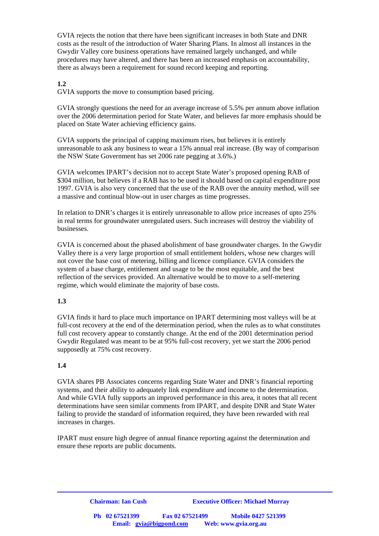GVIA rejects the notion that there have been significant increases in both State and DNR costs as the result of the introduction of Water Sharing Plans. In almost all instances in the Gwydir Valley core business operations have remained largely unchanged, and while procedures may have altered, and there has been an increased emphasis on accountability, there as always been a requirement for sound record keeping and reporting.

#### **1.2**

GVIA supports the move to consumption based pricing.

GVIA strongly questions the need for an average increase of 5.5% per annum above inflation over the 2006 determination period for State Water, and believes far more emphasis should be placed on State Water achieving efficiency gains.

GVIA supports the principal of capping maximum rises, but believes it is entirely unreasonable to ask any business to wear a 15% annual real increase. (By way of comparison the NSW State Government has set 2006 rate pegging at 3.6%.)

GVIA welcomes IPART's decision not to accept State Water's proposed opening RAB of \$304 million, but believes if a RAB has to be used it should based on capital expenditure post 1997. GVIA is also very concerned that the use of the RAB over the annuity method, will see a massive and continual blow-out in user charges as time progresses.

In relation to DNR's charges it is entirely unreasonable to allow price increases of upto 25% in real terms for groundwater unregulated users. Such increases will destroy the viability of businesses.

GVIA is concerned about the phased abolishment of base groundwater charges. In the Gwydir Valley there is a very large proportion of small entitlement holders, whose new charges will not cover the base cost of metering, billing and licence compliance. GVIA considers the system of a base charge, entitlement and usage to be the most equitable, and the best reflection of the services provided. An alternative would be to move to a self-metering regime, which would eliminate the majority of base costs.

#### **1.3**

GVIA finds it hard to place much importance on IPART determining most valleys will be at full-cost recovery at the end of the determination period, when the rules as to what constitutes full cost recovery appear to constantly change. At the end of the 2001 determination period Gwydir Regulated was meant to be at 95% full-cost recovery, yet we start the 2006 period supposedly at 75% cost recovery.

#### **1.4**

GVIA shares PB Associates concerns regarding State Water and DNR's financial reporting systems, and their ability to adequately link expenditure and income to the determination. And while GVIA fully supports an improved performance in this area, it notes that all recent determinations have seen similar comments from IPART, and despite DNR and State Water failing to provide the standard of information required, they have been rewarded with real increases in charges.

IPART must ensure high degree of annual finance reporting against the determination and ensure these reports are public documents.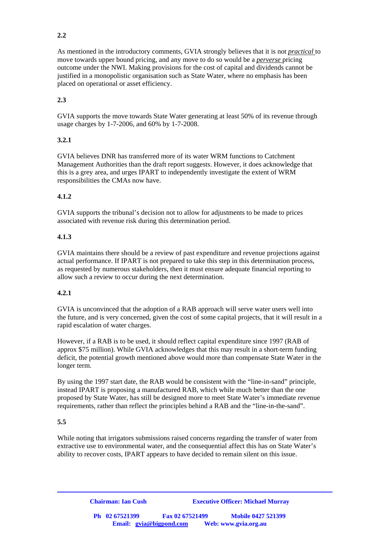# **2.2**

As mentioned in the introductory comments, GVIA strongly believes that it is not *practical* to move towards upper bound pricing, and any move to do so would be a *perverse* pricing outcome under the NWI. Making provisions for the cost of capital and dividends cannot be justified in a monopolistic organisation such as State Water, where no emphasis has been placed on operational or asset efficiency.

# **2.3**

GVIA supports the move towards State Water generating at least 50% of its revenue through usage charges by 1-7-2006, and 60% by 1-7-2008.

# **3.2.1**

GVIA believes DNR has transferred more of its water WRM functions to Catchment Management Authorities than the draft report suggests. However, it does acknowledge that this is a grey area, and urges IPART to independently investigate the extent of WRM responsibilities the CMAs now have.

# **4.1.2**

GVIA supports the tribunal's decision not to allow for adjustments to be made to prices associated with revenue risk during this determination period.

#### **4.1.3**

GVIA maintains there should be a review of past expenditure and revenue projections against actual performance. If IPART is not prepared to take this step in this determination process, as requested by numerous stakeholders, then it must ensure adequate financial reporting to allow such a review to occur during the next determination.

#### **4.2.1**

GVIA is unconvinced that the adoption of a RAB approach will serve water users well into the future, and is very concerned, given the cost of some capital projects, that it will result in a rapid escalation of water charges.

However, if a RAB is to be used, it should reflect capital expenditure since 1997 (RAB of approx \$75 million). While GVIA acknowledges that this may result in a short-term funding deficit, the potential growth mentioned above would more than compensate State Water in the longer term.

By using the 1997 start date, the RAB would be consistent with the "line-in-sand" principle, instead IPART is proposing a manufactured RAB, which while much better than the one proposed by State Water, has still be designed more to meet State Water's immediate revenue requirements, rather than reflect the principles behind a RAB and the "line-in-the-sand".

#### **5.5**

While noting that irrigators submissions raised concerns regarding the transfer of water from extractive use to environmental water, and the consequential affect this has on State Water's ability to recover costs, IPART appears to have decided to remain silent on this issue.

**Chairman: Ian Cush Executive Officer: Michael Murray Ph 02 67521399 Fax 02 67521499 Mobile 0427 521399 Email: gvia@bigpond.com Web: www.gvia.org.au**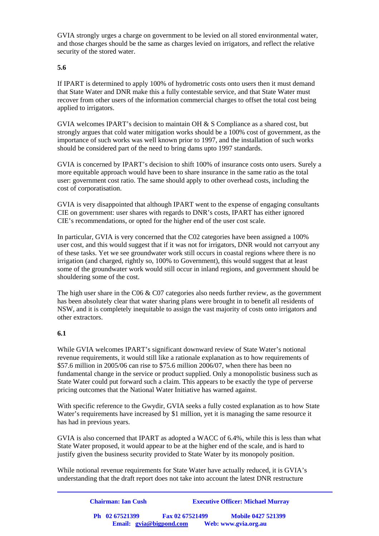GVIA strongly urges a charge on government to be levied on all stored environmental water, and those charges should be the same as charges levied on irrigators, and reflect the relative security of the stored water.

# **5.6**

If IPART is determined to apply 100% of hydrometric costs onto users then it must demand that State Water and DNR make this a fully contestable service, and that State Water must recover from other users of the information commercial charges to offset the total cost being applied to irrigators.

GVIA welcomes IPART's decision to maintain OH & S Compliance as a shared cost, but strongly argues that cold water mitigation works should be a 100% cost of government, as the importance of such works was well known prior to 1997, and the installation of such works should be considered part of the need to bring dams upto 1997 standards.

GVIA is concerned by IPART's decision to shift 100% of insurance costs onto users. Surely a more equitable approach would have been to share insurance in the same ratio as the total user: government cost ratio. The same should apply to other overhead costs, including the cost of corporatisation.

GVIA is very disappointed that although IPART went to the expense of engaging consultants CIE on government: user shares with regards to DNR's costs, IPART has either ignored CIE's recommendations, or opted for the higher end of the user cost scale.

In particular, GVIA is very concerned that the C02 categories have been assigned a 100% user cost, and this would suggest that if it was not for irrigators, DNR would not carryout any of these tasks. Yet we see groundwater work still occurs in coastal regions where there is no irrigation (and charged, rightly so, 100% to Government), this would suggest that at least some of the groundwater work would still occur in inland regions, and government should be shouldering some of the cost.

The high user share in the C06  $&$  C07 categories also needs further review, as the government has been absolutely clear that water sharing plans were brought in to benefit all residents of NSW, and it is completely inequitable to assign the vast majority of costs onto irrigators and other extractors.

#### **6.1**

While GVIA welcomes IPART's significant downward review of State Water's notional revenue requirements, it would still like a rationale explanation as to how requirements of \$57.6 million in 2005/06 can rise to \$75.6 million 2006/07, when there has been no fundamental change in the service or product supplied. Only a monopolistic business such as State Water could put forward such a claim. This appears to be exactly the type of perverse pricing outcomes that the National Water Initiative has warned against.

With specific reference to the Gwydir, GVIA seeks a fully costed explanation as to how State Water's requirements have increased by \$1 million, yet it is managing the same resource it has had in previous years.

GVIA is also concerned that IPART as adopted a WACC of 6.4%, while this is less than what State Water proposed, it would appear to be at the higher end of the scale, and is hard to justify given the business security provided to State Water by its monopoly position.

While notional revenue requirements for State Water have actually reduced, it is GVIA's understanding that the draft report does not take into account the latest DNR restructure

| <b>Chairman: Ian Cush</b> |                         | <b>Executive Officer: Michael Murray</b> |
|---------------------------|-------------------------|------------------------------------------|
| Ph 02 67521399            | Fax 02 67521499         | <b>Mobile 0427 521399</b>                |
|                           | Email: gvia@bigpond.com | Web: www.gvia.org.au                     |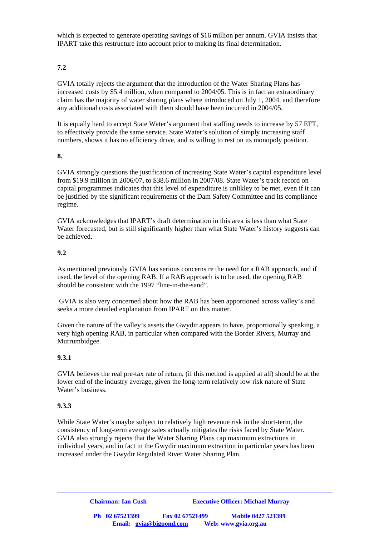which is expected to generate operating savings of \$16 million per annum. GVIA insists that IPART take this restructure into account prior to making its final determination.

## **7.2**

GVIA totally rejects the argument that the introduction of the Water Sharing Plans has increased costs by \$5.4 million, when compared to 2004/05. This is in fact an extraordinary claim has the majority of water sharing plans where introduced on July 1, 2004, and therefore any additional costs associated with them should have been incurred in 2004/05.

It is equally hard to accept State Water's argument that staffing needs to increase by 57 EFT, to effectively provide the same service. State Water's solution of simply increasing staff numbers, shows it has no efficiency drive, and is willing to rest on its monopoly position.

#### **8.**

GVIA strongly questions the justification of increasing State Water's capital expenditure level from \$19.9 million in 2006/07, to \$38.6 million in 2007/08. State Water's track record on capital programmes indicates that this level of expenditure is unlikley to be met, even if it can be justified by the significant requirements of the Dam Safety Committee and its compliance regime.

GVIA acknowledges that IPART's draft determination in this area is less than what State Water forecasted, but is still significantly higher than what State Water's history suggests can be achieved.

#### **9.2**

As mentioned previously GVIA has serious concerns re the need for a RAB approach, and if used, the level of the opening RAB. If a RAB approach is to be used, the opening RAB should be consistent with the 1997 "line-in-the-sand".

 GVIA is also very concerned about how the RAB has been apportioned across valley's and seeks a more detailed explanation from IPART on this matter.

Given the nature of the valley's assets the Gwydir appears to have, proportionally speaking, a very high opening RAB, in particular when compared with the Border Rivers, Murray and Murrumbidgee.

#### **9.3.1**

GVIA believes the real pre-tax rate of return, (if this method is applied at all) should be at the lower end of the industry average, given the long-term relatively low risk nature of State Water's business.

#### **9.3.3**

While State Water's maybe subject to relatively high revenue risk in the short-term, the consistency of long-term average sales actually mitigates the risks faced by State Water. GVIA also strongly rejects that the Water Sharing Plans cap maximum extractions in individual years, and in fact in the Gwydir maximum extraction in particular years has been increased under the Gwydir Regulated River Water Sharing Plan.

> **Chairman: Ian Cush Executive Officer: Michael Murray Ph 02 67521399 Fax 02 67521499 Mobile 0427 521399 Email: gvia@bigpond.com Web: www.gvia.org.au**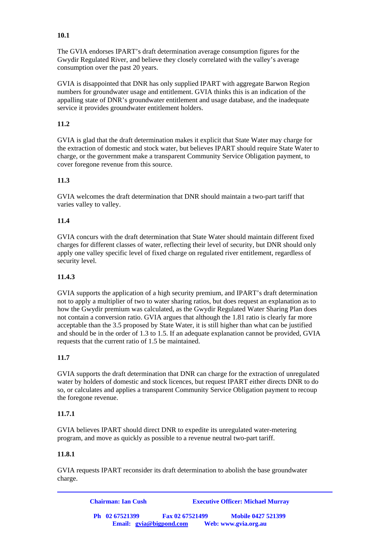# **10.1**

The GVIA endorses IPART's draft determination average consumption figures for the Gwydir Regulated River, and believe they closely correlated with the valley's average consumption over the past 20 years.

GVIA is disappointed that DNR has only supplied IPART with aggregate Barwon Region numbers for groundwater usage and entitlement. GVIA thinks this is an indication of the appalling state of DNR's groundwater entitlement and usage database, and the inadequate service it provides groundwater entitlement holders.

## **11.2**

GVIA is glad that the draft determination makes it explicit that State Water may charge for the extraction of domestic and stock water, but believes IPART should require State Water to charge, or the government make a transparent Community Service Obligation payment, to cover foregone revenue from this source.

# **11.3**

GVIA welcomes the draft determination that DNR should maintain a two-part tariff that varies valley to valley.

# **11.4**

GVIA concurs with the draft determination that State Water should maintain different fixed charges for different classes of water, reflecting their level of security, but DNR should only apply one valley specific level of fixed charge on regulated river entitlement, regardless of security level.

#### **11.4.3**

GVIA supports the application of a high security premium, and IPART's draft determination not to apply a multiplier of two to water sharing ratios, but does request an explanation as to how the Gwydir premium was calculated, as the Gwydir Regulated Water Sharing Plan does not contain a conversion ratio. GVIA argues that although the 1.81 ratio is clearly far more acceptable than the 3.5 proposed by State Water, it is still higher than what can be justified and should be in the order of 1.3 to 1.5. If an adequate explanation cannot be provided, GVIA requests that the current ratio of 1.5 be maintained.

#### **11.7**

GVIA supports the draft determination that DNR can charge for the extraction of unregulated water by holders of domestic and stock licences, but request IPART either directs DNR to do so, or calculates and applies a transparent Community Service Obligation payment to recoup the foregone revenue.

#### **11.7.1**

GVIA believes IPART should direct DNR to expedite its unregulated water-metering program, and move as quickly as possible to a revenue neutral two-part tariff.

#### **11.8.1**

GVIA requests IPART reconsider its draft determination to abolish the base groundwater charge.

| <b>Chairman: Ian Cush</b>                 |                 | <b>Executive Officer: Michael Murray</b>          |
|-------------------------------------------|-----------------|---------------------------------------------------|
| Ph 02 67521399<br>Email: gvia@bigpond.com | Fax 02 67521499 | <b>Mobile 0427 521399</b><br>Web: www.gvia.org.au |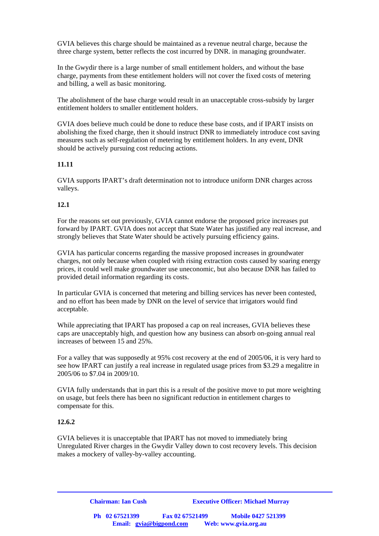GVIA believes this charge should be maintained as a revenue neutral charge, because the three charge system, better reflects the cost incurred by DNR. in managing groundwater.

In the Gwydir there is a large number of small entitlement holders, and without the base charge, payments from these entitlement holders will not cover the fixed costs of metering and billing, a well as basic monitoring.

The abolishment of the base charge would result in an unacceptable cross-subsidy by larger entitlement holders to smaller entitlement holders.

GVIA does believe much could be done to reduce these base costs, and if IPART insists on abolishing the fixed charge, then it should instruct DNR to immediately introduce cost saving measures such as self-regulation of metering by entitlement holders. In any event, DNR should be actively pursuing cost reducing actions.

#### **11.11**

GVIA supports IPART's draft determination not to introduce uniform DNR charges across valleys.

#### **12.1**

For the reasons set out previously, GVIA cannot endorse the proposed price increases put forward by IPART. GVIA does not accept that State Water has justified any real increase, and strongly believes that State Water should be actively pursuing efficiency gains.

GVIA has particular concerns regarding the massive proposed increases in groundwater charges, not only because when coupled with rising extraction costs caused by soaring energy prices, it could well make groundwater use uneconomic, but also because DNR has failed to provided detail information regarding its costs.

In particular GVIA is concerned that metering and billing services has never been contested, and no effort has been made by DNR on the level of service that irrigators would find acceptable.

While appreciating that IPART has proposed a cap on real increases, GVIA believes these caps are unacceptably high, and question how any business can absorb on-going annual real increases of between 15 and 25%.

For a valley that was supposedly at 95% cost recovery at the end of 2005/06, it is very hard to see how IPART can justify a real increase in regulated usage prices from \$3.29 a megalitre in 2005/06 to \$7.04 in 2009/10.

GVIA fully understands that in part this is a result of the positive move to put more weighting on usage, but feels there has been no significant reduction in entitlement charges to compensate for this.

#### **12.6.2**

GVIA believes it is unacceptable that IPART has not moved to immediately bring Unregulated River charges in the Gwydir Valley down to cost recovery levels. This decision makes a mockery of valley-by-valley accounting.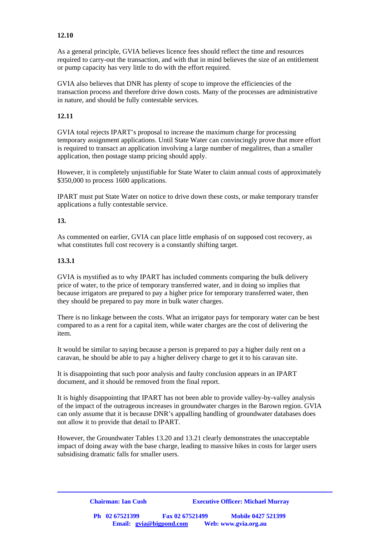## **12.10**

As a general principle, GVIA believes licence fees should reflect the time and resources required to carry-out the transaction, and with that in mind believes the size of an entitlement or pump capacity has very little to do with the effort required.

GVIA also believes that DNR has plenty of scope to improve the efficiencies of the transaction process and therefore drive down costs. Many of the processes are administrative in nature, and should be fully contestable services.

## **12.11**

GVIA total rejects IPART's proposal to increase the maximum charge for processing temporary assignment applications. Until State Water can convincingly prove that more effort is required to transact an application involving a large number of megalitres, than a smaller application, then postage stamp pricing should apply.

However, it is completely unjustifiable for State Water to claim annual costs of approximately \$350,000 to process 1600 applications.

IPART must put State Water on notice to drive down these costs, or make temporary transfer applications a fully contestable service.

#### **13.**

As commented on earlier, GVIA can place little emphasis of on supposed cost recovery, as what constitutes full cost recovery is a constantly shifting target.

#### **13.3.1**

GVIA is mystified as to why IPART has included comments comparing the bulk delivery price of water, to the price of temporary transferred water, and in doing so implies that because irrigators are prepared to pay a higher price for temporary transferred water, then they should be prepared to pay more in bulk water charges.

There is no linkage between the costs. What an irrigator pays for temporary water can be best compared to as a rent for a capital item, while water charges are the cost of delivering the item.

It would be similar to saying because a person is prepared to pay a higher daily rent on a caravan, he should be able to pay a higher delivery charge to get it to his caravan site.

It is disappointing that such poor analysis and faulty conclusion appears in an IPART document, and it should be removed from the final report.

It is highly disappointing that IPART has not been able to provide valley-by-valley analysis of the impact of the outrageous increases in groundwater charges in the Barown region. GVIA can only assume that it is because DNR's appalling handling of groundwater databases does not allow it to provide that detail to IPART.

However, the Groundwater Tables 13.20 and 13.21 clearly demonstrates the unacceptable impact of doing away with the base charge, leading to massive hikes in costs for larger users subsidising dramatic falls for smaller users.